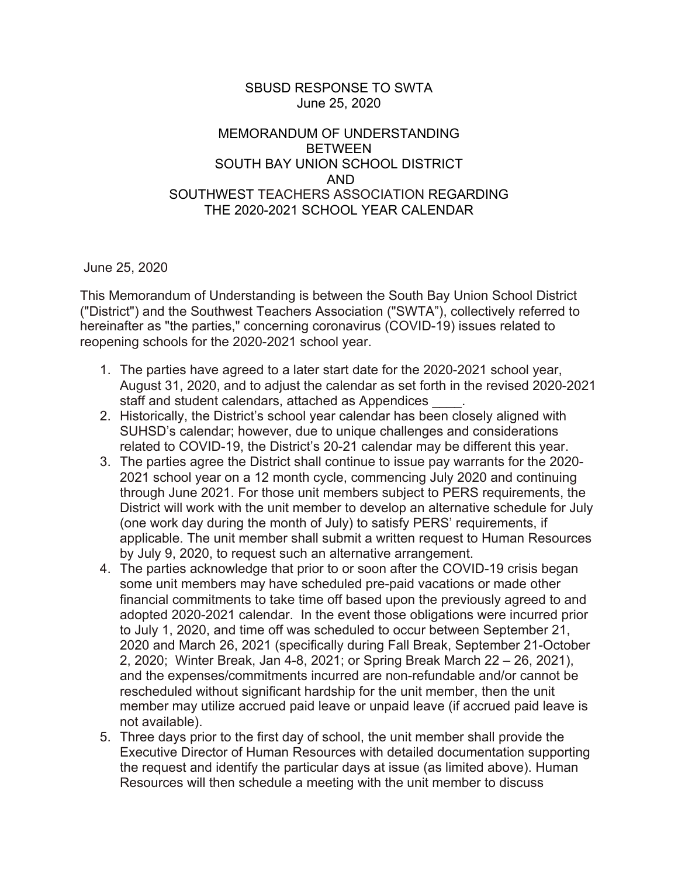## SBUSD RESPONSE TO SWTA June 25, 2020

## MEMORANDUM OF UNDERSTANDING BETWEEN SOUTH BAY UNION SCHOOL DISTRICT AND SOUTHWEST TEACHERS ASSOCIATION REGARDING THE 2020-2021 SCHOOL YEAR CALENDAR

June 25, 2020

This Memorandum of Understanding is between the South Bay Union School District ("District") and the Southwest Teachers Association ("SWTA"), collectively referred to hereinafter as "the parties," concerning coronavirus (COVID-19) issues related to reopening schools for the 2020-2021 school year.

- 1. The parties have agreed to a later start date for the 2020-2021 school year, August 31, 2020, and to adjust the calendar as set forth in the revised 2020-2021 staff and student calendars, attached as Appendices .
- 2. Historically, the District's school year calendar has been closely aligned with SUHSD's calendar; however, due to unique challenges and considerations related to COVID-19, the District's 20-21 calendar may be different this year.
- 3. The parties agree the District shall continue to issue pay warrants for the 2020- 2021 school year on a 12 month cycle, commencing July 2020 and continuing through June 2021. For those unit members subject to PERS requirements, the District will work with the unit member to develop an alternative schedule for July (one work day during the month of July) to satisfy PERS' requirements, if applicable. The unit member shall submit a written request to Human Resources by July 9, 2020, to request such an alternative arrangement.
- 4. The parties acknowledge that prior to or soon after the COVID-19 crisis began some unit members may have scheduled pre-paid vacations or made other financial commitments to take time off based upon the previously agreed to and adopted 2020-2021 calendar. In the event those obligations were incurred prior to July 1, 2020, and time off was scheduled to occur between September 21, 2020 and March 26, 2021 (specifically during Fall Break, September 21-October 2, 2020; Winter Break, Jan 4-8, 2021; or Spring Break March 22 – 26, 2021), and the expenses/commitments incurred are non-refundable and/or cannot be rescheduled without significant hardship for the unit member, then the unit member may utilize accrued paid leave or unpaid leave (if accrued paid leave is not available).
- 5. Three days prior to the first day of school, the unit member shall provide the Executive Director of Human Resources with detailed documentation supporting the request and identify the particular days at issue (as limited above). Human Resources will then schedule a meeting with the unit member to discuss